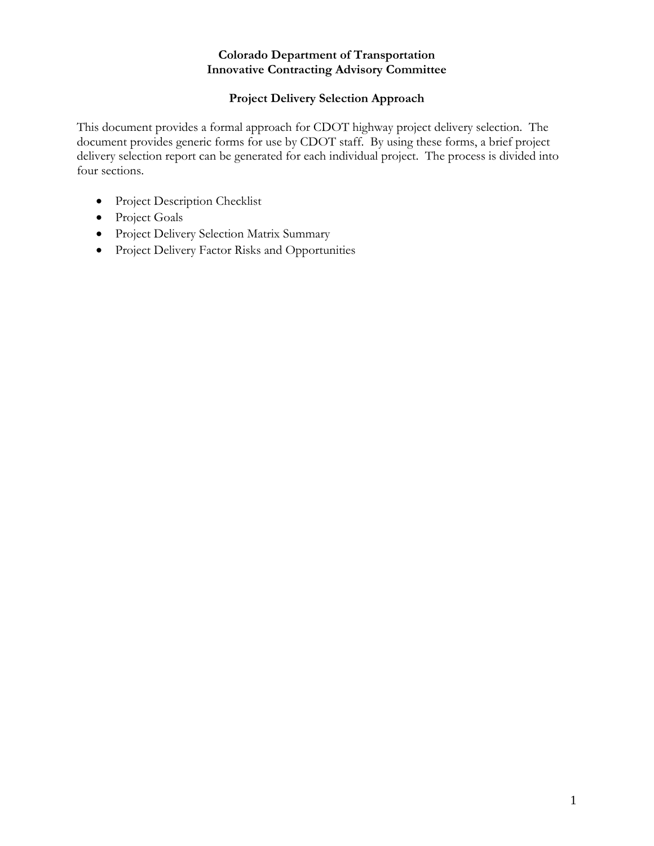#### **Colorado Department of Transportation Innovative Contracting Advisory Committee**

## **Project Delivery Selection Approach**

This document provides a formal approach for CDOT highway project delivery selection. The document provides generic forms for use by CDOT staff. By using these forms, a brief project delivery selection report can be generated for each individual project. The process is divided into four sections.

- Project Description Checklist
- Project Goals
- Project Delivery Selection Matrix Summary
- Project Delivery Factor Risks and Opportunities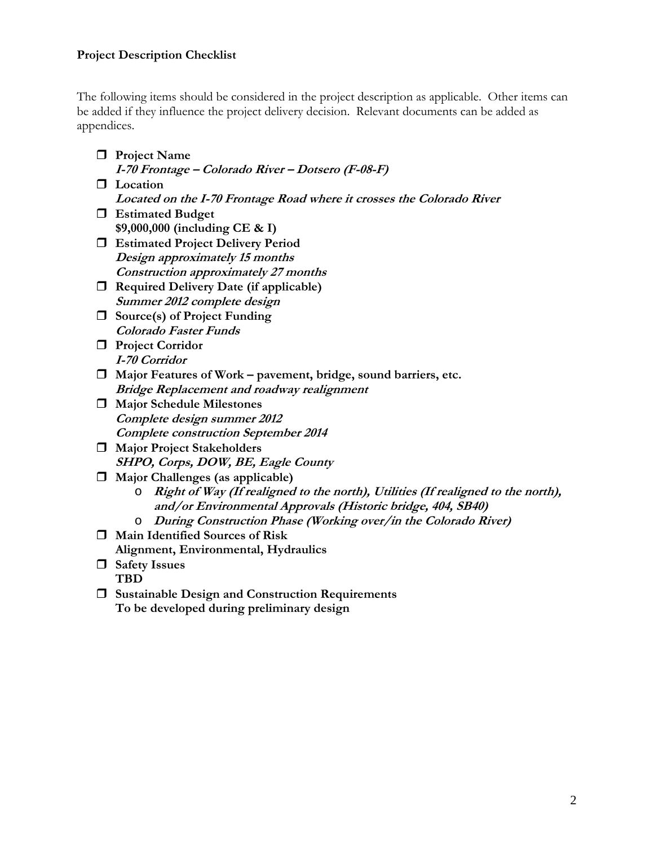## **Project Description Checklist**

The following items should be considered in the project description as applicable. Other items can be added if they influence the project delivery decision. Relevant documents can be added as appendices.

- **Project Name**
- **I-70 Frontage Colorado River Dotsero (F-08-F)**
- **Location Located on the I-70 Frontage Road where it crosses the Colorado River**
- **Estimated Budget \$9,000,000 (including CE & I)**
- **Estimated Project Delivery Period Design approximately 15 months Construction approximately 27 months**
- **Required Delivery Date (if applicable) Summer 2012 complete design**
- **Source(s) of Project Funding Colorado Faster Funds**
- **Project Corridor I-70 Corridor**
- **Major Features of Work pavement, bridge, sound barriers, etc. Bridge Replacement and roadway realignment**
- **Major Schedule Milestones Complete design summer 2012 Complete construction September 2014**
- **Major Project Stakeholders SHPO, Corps, DOW, BE, Eagle County**
- **Major Challenges (as applicable)** 
	- o **Right of Way (If realigned to the north), Utilities (If realigned to the north), and/or Environmental Approvals (Historic bridge, 404, SB40)**
	- o **During Construction Phase (Working over/in the Colorado River)**
- **Main Identified Sources of Risk Alignment, Environmental, Hydraulics**
- **Safety Issues** 
	- **TBD**
- **Sustainable Design and Construction Requirements To be developed during preliminary design**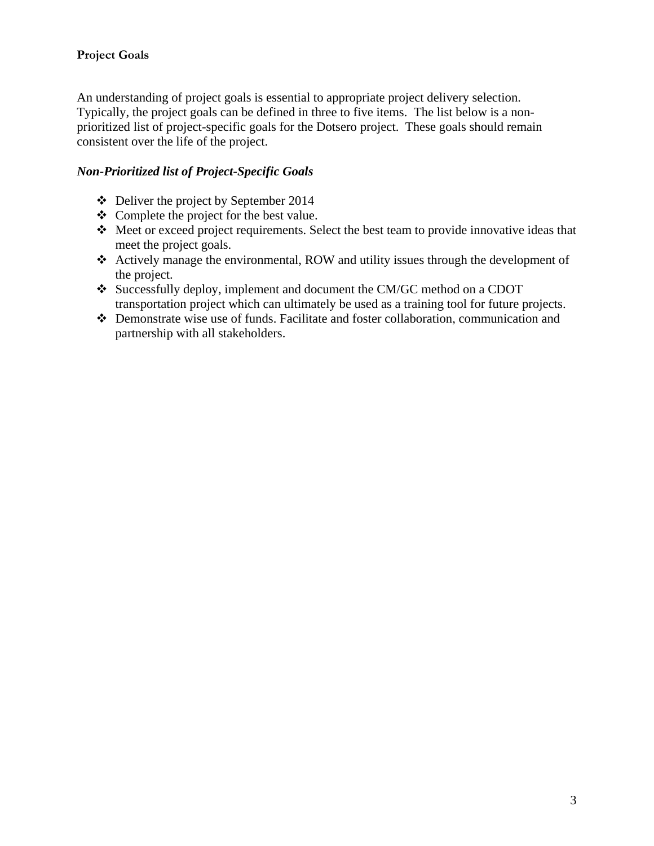## **Project Goals**

An understanding of project goals is essential to appropriate project delivery selection. Typically, the project goals can be defined in three to five items. The list below is a nonprioritized list of project-specific goals for the Dotsero project. These goals should remain consistent over the life of the project.

## *Non-Prioritized list of Project-Specific Goals*

- $\div$  Deliver the project by September 2014
- Complete the project for the best value.
- Meet or exceed project requirements. Select the best team to provide innovative ideas that meet the project goals.
- Actively manage the environmental, ROW and utility issues through the development of the project.
- Successfully deploy, implement and document the CM/GC method on a CDOT transportation project which can ultimately be used as a training tool for future projects.
- Demonstrate wise use of funds. Facilitate and foster collaboration, communication and partnership with all stakeholders.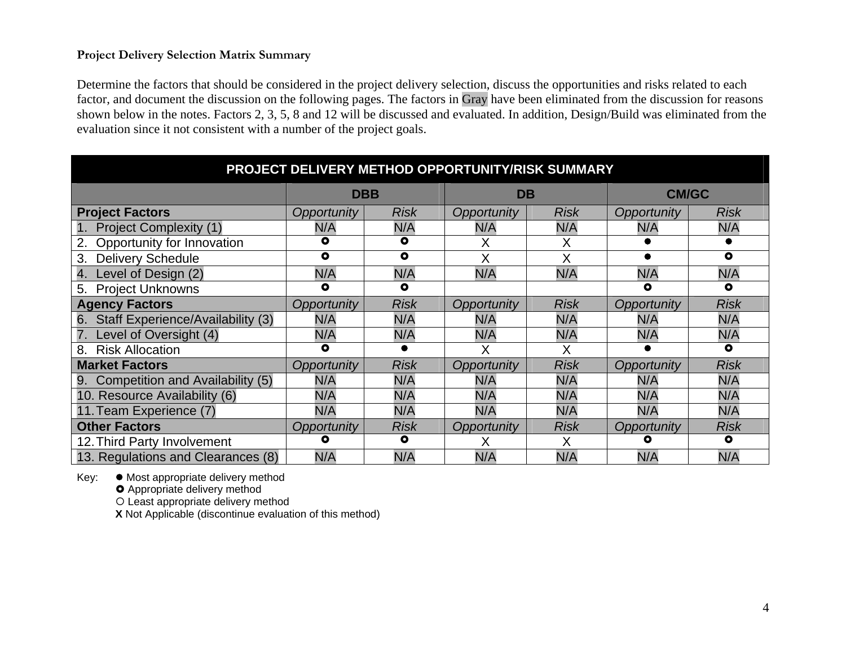## **Project Delivery Selection Matrix Summary**

Determine the factors that should be considered in the project delivery selection, discuss the opportunities and risks related to each factor, and document the discussion on the following pages. The factors in Gray have been eliminated from the discussion for reasons shown below in the notes. Factors 2, 3, 5, 8 and 12 will be discussed and evaluated. In addition, Design/Build was eliminated from the evaluation since it not consistent with a number of the project goals.

| PROJECT DELIVERY METHOD OPPORTUNITY/RISK SUMMARY |                    |             |             |             |                    |             |
|--------------------------------------------------|--------------------|-------------|-------------|-------------|--------------------|-------------|
|                                                  |                    | <b>DBB</b>  | <b>DB</b>   |             | <b>CM/GC</b>       |             |
| <b>Project Factors</b>                           | Opportunity        | <b>Risk</b> | Opportunity | <b>Risk</b> | Opportunity        | <b>Risk</b> |
| <b>Project Complexity (1)</b>                    | N/A                | N/A         | N/A         | N/A         | N/A                | N/A         |
| Opportunity for Innovation                       | ٥                  | $\bullet$   | Χ           | X           |                    |             |
| <b>Delivery Schedule</b><br>3.                   | ٥                  | $\bullet$   | X           | Χ           |                    | $\bullet$   |
| Level of Design (2)<br>4.                        | N/A                | N/A         | N/A         | N/A         | N/A                | N/A         |
| <b>Project Unknowns</b><br>5.                    | ٥                  | $\bullet$   |             |             | ٥                  | $\bullet$   |
| <b>Agency Factors</b>                            | <b>Opportunity</b> | <b>Risk</b> | Opportunity | <b>Risk</b> | Opportunity        | <b>Risk</b> |
| Staff Experience/Availability (3)<br>6.          | N/A                | N/A         | N/A         | N/A         | N/A                | N/A         |
| Level of Oversight (4)                           | N/A                | N/A         | N/A         | N/A         | N/A                | N/A         |
| <b>Risk Allocation</b><br>8.                     | O                  |             | Χ           | Χ           |                    | $\bullet$   |
| <b>Market Factors</b>                            | Opportunity        | Risk        | Opportunity | <b>Risk</b> | Opportunity        | <b>Risk</b> |
| Competition and Availability (5)<br>9.           | N/A                | N/A         | N/A         | N/A         | N/A                | N/A         |
| 10. Resource Availability (6)                    | N/A                | N/A         | N/A         | N/A         | N/A                | N/A         |
| 11. Team Experience (7)                          | N/A                | N/A         | N/A         | N/A         | N/A                | N/A         |
| <b>Other Factors</b>                             | Opportunity        | <b>Risk</b> | Opportunity | <b>Risk</b> | <b>Opportunity</b> | <b>Risk</b> |
| 12. Third Party Involvement                      | О                  | $\bullet$   | х           | Χ           | О                  | $\bullet$   |
| 13. Regulations and Clearances (8)               | N/A                | N/A         | N/A         | N/A         | N/A                | N/A         |

Key:  $\bullet$  Most appropriate delivery method

**O** Appropriate delivery method

{ Least appropriate delivery method

**X** Not Applicable (discontinue evaluation of this method)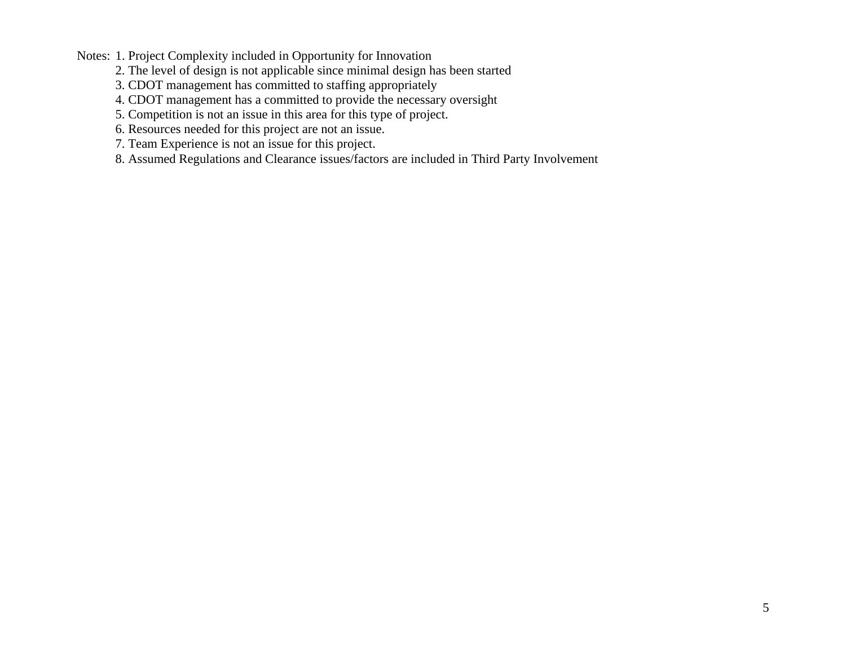Notes: 1. Project Complexity included in Opportunity for Innovation

- 2. The level of design is not applicable since minimal design has been started
- 3. CDOT management has committed to staffing appropriately
- 4. CDOT management has a committed to provide the necessary oversight
- 5. Competition is not an issue in this area for this type of project.
- 6. Resources needed for this project are not an issue.
- 7. Team Experience is not an issue for this project.
- 8. Assumed Regulations and Clearance issues/factors are included in Third Party Involvement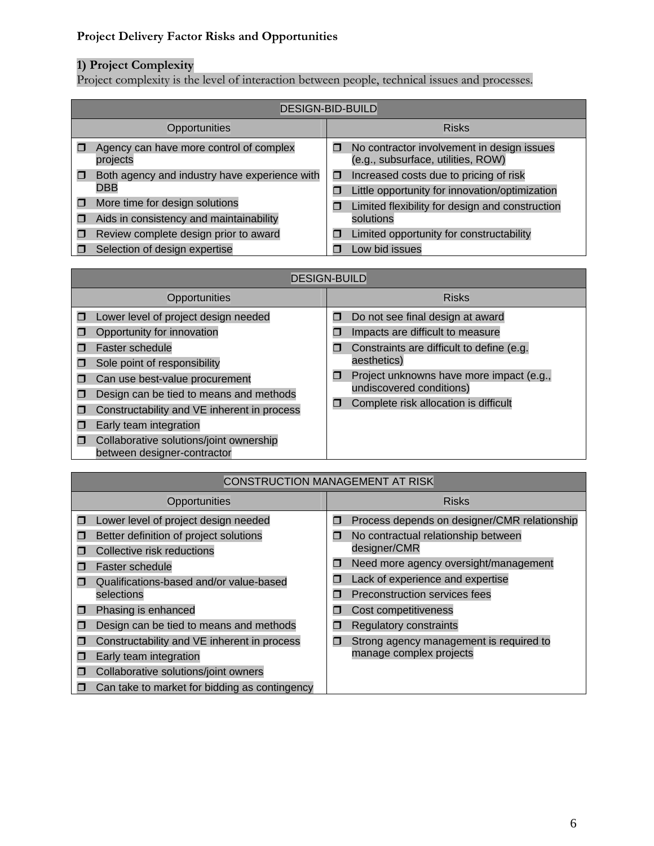# **Project Delivery Factor Risks and Opportunities**

#### **1) Project Complexity**

Project complexity is the level of interaction between people, technical issues and processes.

| <b>DESIGN-BID-BUILD</b>                              |   |                                                                                          |  |  |
|------------------------------------------------------|---|------------------------------------------------------------------------------------------|--|--|
| Opportunities                                        |   | <b>Risks</b>                                                                             |  |  |
| Agency can have more control of complex<br>projects  | 0 | No contractor involvement in design issues<br>(e.g., subsurface, utilities, ROW)         |  |  |
| Both agency and industry have experience with<br>DBB | О | Increased costs due to pricing of risk<br>Little opportunity for innovation/optimization |  |  |
| More time for design solutions                       | П | Limited flexibility for design and construction                                          |  |  |
| Aids in consistency and maintainability              |   | solutions                                                                                |  |  |
| Review complete design prior to award                | П | Limited opportunity for constructability                                                 |  |  |
| Selection of design expertise                        |   | Low bid issues                                                                           |  |  |

| <b>DESIGN-BUILD</b> |                                                                                                                                                                                                                              |             |                                                                                                                                  |  |
|---------------------|------------------------------------------------------------------------------------------------------------------------------------------------------------------------------------------------------------------------------|-------------|----------------------------------------------------------------------------------------------------------------------------------|--|
|                     | Opportunities                                                                                                                                                                                                                |             | <b>Risks</b>                                                                                                                     |  |
|                     | Lower level of project design needed<br>Opportunity for innovation<br>Faster schedule<br>Sole point of responsibility                                                                                                        | п<br>П<br>П | Do not see final design at award<br>Impacts are difficult to measure<br>Constraints are difficult to define (e.g.<br>aesthetics) |  |
|                     | Can use best-value procurement<br>Design can be tied to means and methods<br>Constructability and VE inherent in process<br>Early team integration<br>Collaborative solutions/joint ownership<br>between designer-contractor | O<br>П      | Project unknowns have more impact (e.g.,<br>undiscovered conditions)<br>Complete risk allocation is difficult                    |  |

|   | CONSTRUCTION MANAGEMENT AT RISK               |   |                                              |
|---|-----------------------------------------------|---|----------------------------------------------|
|   | Opportunities                                 |   | <b>Risks</b>                                 |
| Π | Lower level of project design needed          | Π | Process depends on designer/CMR relationship |
| П | Better definition of project solutions        | π | No contractual relationship between          |
|   | Collective risk reductions                    |   | designer/CMR                                 |
|   | Faster schedule                               | П | Need more agency oversight/management        |
| П | Qualifications-based and/or value-based       | п | Lack of experience and expertise             |
|   | selections                                    | П | Preconstruction services fees                |
| ⊓ | Phasing is enhanced                           | П | Cost competitiveness                         |
| П | Design can be tied to means and methods       | П | <b>Regulatory constraints</b>                |
| П | Constructability and VE inherent in process   | 0 | Strong agency management is required to      |
| П | Early team integration                        |   | manage complex projects                      |
| П | Collaborative solutions/joint owners          |   |                                              |
|   | Can take to market for bidding as contingency |   |                                              |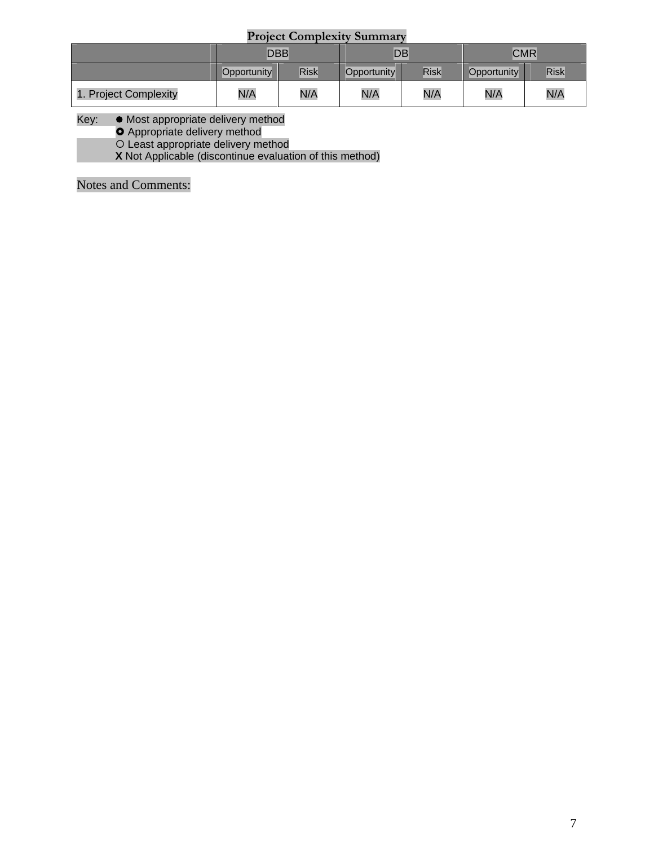## **Project Complexity Summary**

|                       | <b>DBB</b>  |             | DB          |      | <b>CMR</b>  |             |
|-----------------------|-------------|-------------|-------------|------|-------------|-------------|
|                       | Opportunity | <b>Risk</b> | Opportunity | Risk | Opportunity | <b>Risk</b> |
| 1. Project Complexity | N/A         | N/A         | N/A         | N/A  | N/A         | N/A         |

#### Key:  $\bullet$  Most appropriate delivery method

**O** Appropriate delivery method

{ Least appropriate delivery method

**X** Not Applicable (discontinue evaluation of this method)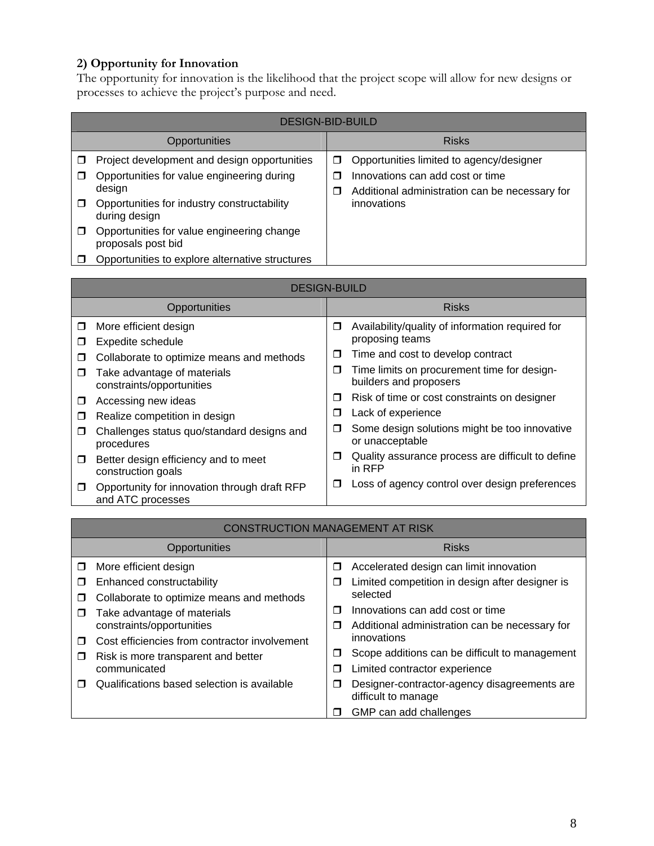## **2) Opportunity for Innovation**

The opportunity for innovation is the likelihood that the project scope will allow for new designs or processes to achieve the project's purpose and need.

| <b>Risks</b><br>Opportunities                                                                                                                                                                                                                                                                                                                                                                                                                                              |  |
|----------------------------------------------------------------------------------------------------------------------------------------------------------------------------------------------------------------------------------------------------------------------------------------------------------------------------------------------------------------------------------------------------------------------------------------------------------------------------|--|
|                                                                                                                                                                                                                                                                                                                                                                                                                                                                            |  |
| Project development and design opportunities<br>Opportunities limited to agency/designer<br>□<br>Opportunities for value engineering during<br>Innovations can add cost or time<br>⊓<br>⊓<br>design<br>Additional administration can be necessary for<br>□<br>Opportunities for industry constructability<br>innovations<br>□<br>during design<br>Opportunities for value engineering change<br>Ш<br>proposals post bid<br>Opportunities to explore alternative structures |  |

|        | <b>DESIGN-BUILD</b>                                               |   |                                                                       |
|--------|-------------------------------------------------------------------|---|-----------------------------------------------------------------------|
|        | Opportunities                                                     |   | <b>Risks</b>                                                          |
| $\Box$ | More efficient design                                             | □ | Availability/quality of information required for<br>proposing teams   |
| ◻      | Expedite schedule                                                 |   |                                                                       |
| ◻      | Collaborate to optimize means and methods                         | □ | Time and cost to develop contract                                     |
| □      | Take advantage of materials<br>constraints/opportunities          | □ | Time limits on procurement time for design-<br>builders and proposers |
| □      | Accessing new ideas                                               | □ | Risk of time or cost constraints on designer                          |
| □      | Realize competition in design                                     | □ | Lack of experience                                                    |
| П      | Challenges status quo/standard designs and<br>procedures          | □ | Some design solutions might be too innovative<br>or unacceptable      |
| 0.     | Better design efficiency and to meet<br>construction goals        | ◘ | Quality assurance process are difficult to define<br>in RFP           |
| $\Box$ | Opportunity for innovation through draft RFP<br>and ATC processes | □ | Loss of agency control over design preferences                        |

|    | <b>CONSTRUCTION MANAGEMENT AT RISK</b>              |   |                                                                     |  |  |
|----|-----------------------------------------------------|---|---------------------------------------------------------------------|--|--|
|    | Opportunities                                       |   | <b>Risks</b>                                                        |  |  |
| Ω. | More efficient design                               | ◘ | Accelerated design can limit innovation                             |  |  |
| □  | Enhanced constructability                           | □ | Limited competition in design after designer is                     |  |  |
| П  | Collaborate to optimize means and methods           |   | selected                                                            |  |  |
| П  | Take advantage of materials                         | Π | Innovations can add cost or time                                    |  |  |
|    | constraints/opportunities                           | ◘ | Additional administration can be necessary for                      |  |  |
| П  | Cost efficiencies from contractor involvement       |   | innovations                                                         |  |  |
| □  | Risk is more transparent and better<br>communicated | ◻ | Scope additions can be difficult to management                      |  |  |
|    |                                                     | □ | Limited contractor experience                                       |  |  |
| П  | Qualifications based selection is available         | ◘ | Designer-contractor-agency disagreements are<br>difficult to manage |  |  |
|    |                                                     | П | GMP can add challenges                                              |  |  |

8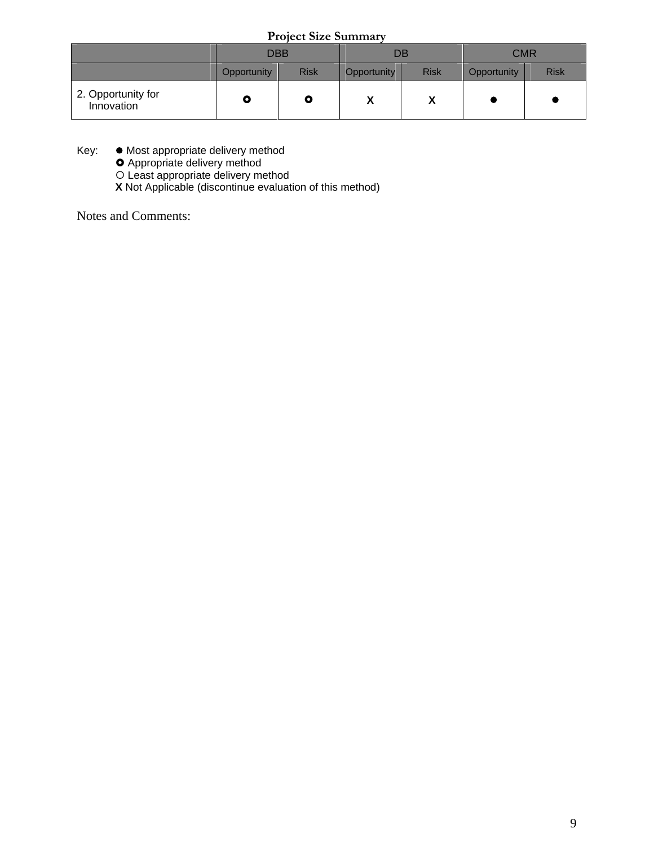**Project Size Summary** 

|                                  | <b>DBB</b>  |             | DB                         |             | <b>CMR</b>  |             |
|----------------------------------|-------------|-------------|----------------------------|-------------|-------------|-------------|
|                                  | Opportunity | <b>Risk</b> | Opportunity                | <b>Risk</b> | Opportunity | <b>Risk</b> |
| 2. Opportunity for<br>Innovation |             | Q           | $\boldsymbol{\mathcal{L}}$ | Λ           |             |             |

Key:  $\bullet$  Most appropriate delivery method

**O** Appropriate delivery method

{ Least appropriate delivery method

**X** Not Applicable (discontinue evaluation of this method)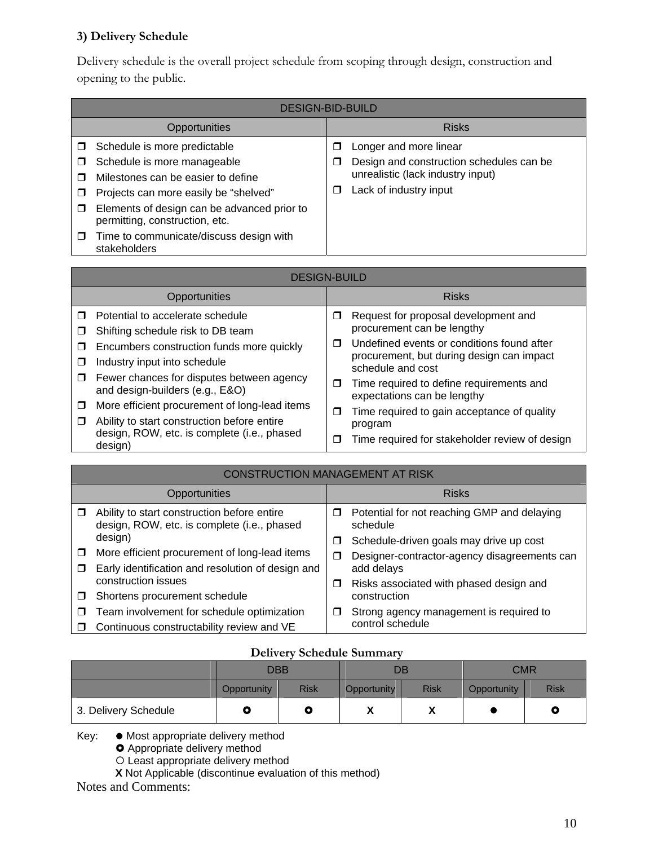## **3) Delivery Schedule**

Delivery schedule is the overall project schedule from scoping through design, construction and opening to the public.

|        | <b>DESIGN-BID-BUILD</b>                                                       |   |                                          |                        |  |
|--------|-------------------------------------------------------------------------------|---|------------------------------------------|------------------------|--|
|        | Opportunities                                                                 |   | <b>Risks</b>                             |                        |  |
|        | Schedule is more predictable                                                  | □ | Longer and more linear                   |                        |  |
| $\Box$ | Schedule is more manageable                                                   | П | Design and construction schedules can be |                        |  |
|        | Milestones can be easier to define                                            | П | unrealistic (lack industry input)        |                        |  |
| $\Box$ | Projects can more easily be "shelved"                                         |   |                                          | Lack of industry input |  |
| $\Box$ | Elements of design can be advanced prior to<br>permitting, construction, etc. |   |                                          |                        |  |
| П      | Time to communicate/discuss design with<br>stakeholders                       |   |                                          |                        |  |

| <b>DESIGN-BUILD</b> |                                                                                                                                             |        |                                                                                                              |  |
|---------------------|---------------------------------------------------------------------------------------------------------------------------------------------|--------|--------------------------------------------------------------------------------------------------------------|--|
|                     | <b>Opportunities</b>                                                                                                                        |        | <b>Risks</b>                                                                                                 |  |
| □                   | Potential to accelerate schedule<br>Shifting schedule risk to DB team                                                                       | □      | Request for proposal development and<br>procurement can be lengthy                                           |  |
| ⊓<br>П              | Encumbers construction funds more quickly<br>Industry input into schedule                                                                   | П      | Undefined events or conditions found after<br>procurement, but during design can impact<br>schedule and cost |  |
| □                   | Fewer chances for disputes between agency<br>and design-builders (e.g., E&O)                                                                | □      | Time required to define requirements and<br>expectations can be lengthy                                      |  |
| □<br>□              | More efficient procurement of long-lead items<br>Ability to start construction before entire<br>design, ROW, etc. is complete (i.e., phased | □<br>□ | Time required to gain acceptance of quality<br>program<br>Time required for stakeholder review of design     |  |
|                     | design)                                                                                                                                     |        |                                                                                                              |  |

|   | <b>CONSTRUCTION MANAGEMENT AT RISK</b>                                                     |   |                                                         |  |  |
|---|--------------------------------------------------------------------------------------------|---|---------------------------------------------------------|--|--|
|   | Opportunities                                                                              |   | <b>Risks</b>                                            |  |  |
|   | Ability to start construction before entire<br>design, ROW, etc. is complete (i.e., phased | □ | Potential for not reaching GMP and delaying<br>schedule |  |  |
|   | design)                                                                                    | □ | Schedule-driven goals may drive up cost                 |  |  |
| □ | More efficient procurement of long-lead items                                              | □ | Designer-contractor-agency disagreements can            |  |  |
| □ | Early identification and resolution of design and                                          |   | add delays                                              |  |  |
|   | construction issues                                                                        | □ | Risks associated with phased design and                 |  |  |
| □ | Shortens procurement schedule                                                              |   | construction                                            |  |  |
| П | Team involvement for schedule optimization                                                 | □ | Strong agency management is required to                 |  |  |
| ⊓ | Continuous constructability review and VE                                                  |   | control schedule                                        |  |  |

## **Delivery Schedule Summary**

|                      | <b>DBB</b>  |             | DB          |             | <b>CMR</b>  |             |
|----------------------|-------------|-------------|-------------|-------------|-------------|-------------|
|                      | Opportunity | <b>Risk</b> | Opportunity | <b>Risk</b> | Opportunity | <b>Risk</b> |
| 3. Delivery Schedule |             | Q           | "           | v<br>Λ      |             | O           |

Key:  $\bullet$  Most appropriate delivery method

**O** Appropriate delivery method

{ Least appropriate delivery method

**X** Not Applicable (discontinue evaluation of this method)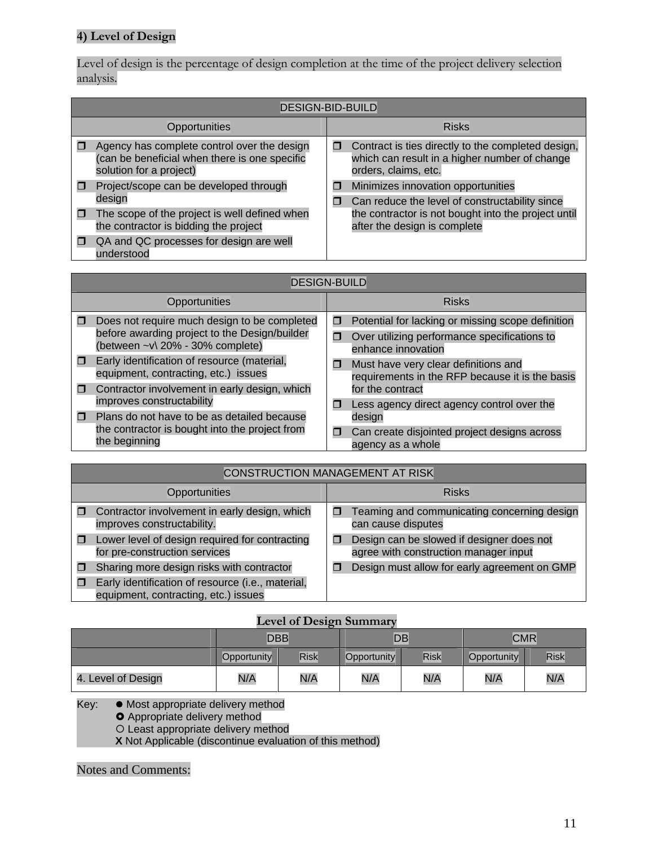## **4) Level of Design**

Level of design is the percentage of design completion at the time of the project delivery selection analysis.

| <b>DESIGN-BID-BUILD</b>                                                                                                 |   |                                                                                                                             |  |  |  |
|-------------------------------------------------------------------------------------------------------------------------|---|-----------------------------------------------------------------------------------------------------------------------------|--|--|--|
| Opportunities                                                                                                           |   | <b>Risks</b>                                                                                                                |  |  |  |
| Agency has complete control over the design<br>(can be beneficial when there is one specific<br>solution for a project) | П | Contract is ties directly to the completed design,<br>which can result in a higher number of change<br>orders, claims, etc. |  |  |  |
| Project/scope can be developed through<br>design                                                                        | □ | Minimizes innovation opportunities<br>Can reduce the level of constructability since                                        |  |  |  |
| The scope of the project is well defined when<br>the contractor is bidding the project                                  |   | the contractor is not bought into the project until<br>after the design is complete                                         |  |  |  |
| QA and QC processes for design are well<br>understood                                                                   |   |                                                                                                                             |  |  |  |

|                                                                                                                     | <b>DESIGN-BUILD</b>                                                                 |                                                                    |                                                                                         |  |  |  |  |
|---------------------------------------------------------------------------------------------------------------------|-------------------------------------------------------------------------------------|--------------------------------------------------------------------|-----------------------------------------------------------------------------------------|--|--|--|--|
|                                                                                                                     | Opportunities                                                                       |                                                                    | <b>Risks</b>                                                                            |  |  |  |  |
| п                                                                                                                   | Does not require much design to be completed                                        | П                                                                  | Potential for lacking or missing scope definition                                       |  |  |  |  |
| before awarding project to the Design/builder<br>(between ~v\ 20% - 30% complete)                                   | Ο                                                                                   | Over utilizing performance specifications to<br>enhance innovation |                                                                                         |  |  |  |  |
| π                                                                                                                   | Early identification of resource (material,<br>equipment, contracting, etc.) issues | □                                                                  | Must have very clear definitions and<br>requirements in the RFP because it is the basis |  |  |  |  |
| 0                                                                                                                   | Contractor involvement in early design, which<br>improves constructability          |                                                                    | for the contract                                                                        |  |  |  |  |
|                                                                                                                     |                                                                                     | П                                                                  | Less agency direct agency control over the                                              |  |  |  |  |
| Plans do not have to be as detailed because<br>⊓<br>the contractor is bought into the project from<br>the beginning |                                                                                     | design                                                             |                                                                                         |  |  |  |  |
|                                                                                                                     | □                                                                                   | Can create disjointed project designs across<br>agency as a whole  |                                                                                         |  |  |  |  |

| <b>CONSTRUCTION MANAGEMENT AT RISK</b>                                                    |  |                                                                                    |  |  |  |  |
|-------------------------------------------------------------------------------------------|--|------------------------------------------------------------------------------------|--|--|--|--|
| Opportunities                                                                             |  | <b>Risks</b>                                                                       |  |  |  |  |
| Contractor involvement in early design, which<br>improves constructability.               |  | Teaming and communicating concerning design<br>can cause disputes                  |  |  |  |  |
| Lower level of design required for contracting<br>for pre-construction services           |  | Design can be slowed if designer does not<br>agree with construction manager input |  |  |  |  |
| Sharing more design risks with contractor                                                 |  | Design must allow for early agreement on GMP                                       |  |  |  |  |
| Early identification of resource (i.e., material,<br>equipment, contracting, etc.) issues |  |                                                                                    |  |  |  |  |

## **Level of Design Summary**

|                    | <b>DBB</b>  |      | $\sim$<br>DB |      | <b>CMR</b>  |      |
|--------------------|-------------|------|--------------|------|-------------|------|
|                    | Opportunity | Risk | Opportunity  | Risk | Opportunity | Risk |
| 4. Level of Design | N/A         | N/A  | N/A          | N/A  | N/A         | N/A  |

Key: • Most appropriate delivery method

• Mest appropriate delivery method

O Least appropriate delivery method

**X** Not Applicable (discontinue evaluation of this method)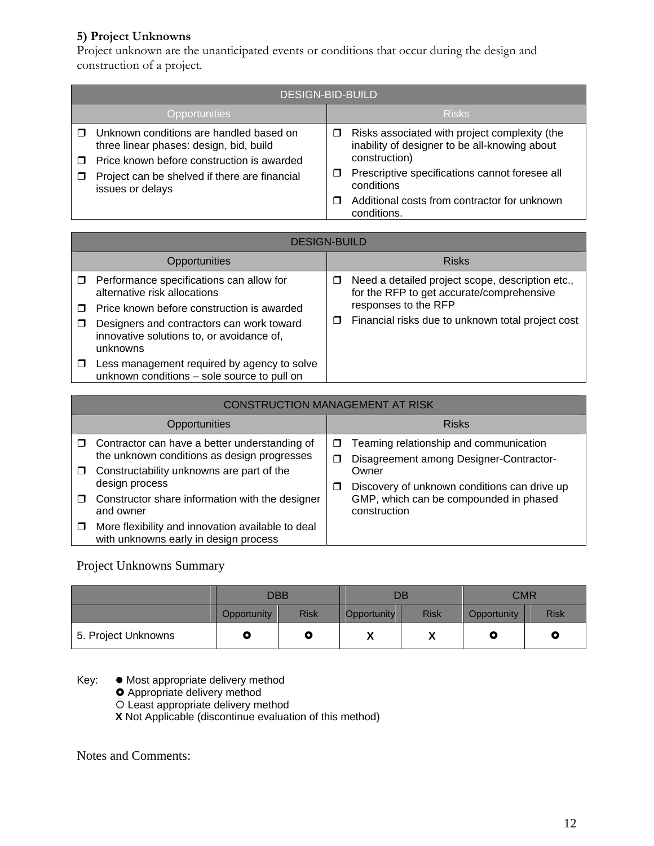## **5) Project Unknowns**

Project unknown are the unanticipated events or conditions that occur during the design and construction of a project.

| <b>DESIGN-BID-BUILD</b>                                                                                                                                                                               |                                                                                                                                                                                           |  |  |  |  |
|-------------------------------------------------------------------------------------------------------------------------------------------------------------------------------------------------------|-------------------------------------------------------------------------------------------------------------------------------------------------------------------------------------------|--|--|--|--|
| Opportunities                                                                                                                                                                                         | <b>Risks</b>                                                                                                                                                                              |  |  |  |  |
| Unknown conditions are handled based on<br>three linear phases: design, bid, build<br>Price known before construction is awarded<br>Project can be shelved if there are financial<br>issues or delays | Risks associated with project complexity (the<br>□<br>inability of designer to be all-knowing about<br>construction)<br>Prescriptive specifications cannot foresee all<br>□<br>conditions |  |  |  |  |
|                                                                                                                                                                                                       | Additional costs from contractor for unknown<br>conditions.                                                                                                                               |  |  |  |  |

|   | <b>DESIGN-BUILD</b>                                                                                |        |                                                                                               |                                                   |  |  |  |
|---|----------------------------------------------------------------------------------------------------|--------|-----------------------------------------------------------------------------------------------|---------------------------------------------------|--|--|--|
|   | Opportunities                                                                                      |        | <b>Risks</b>                                                                                  |                                                   |  |  |  |
| □ | Performance specifications can allow for<br>alternative risk allocations                           | □<br>□ | Need a detailed project scope, description etc.,<br>for the RFP to get accurate/comprehensive |                                                   |  |  |  |
|   | Price known before construction is awarded                                                         |        | responses to the RFP                                                                          |                                                   |  |  |  |
| П | Designers and contractors can work toward<br>innovative solutions to, or avoidance of,<br>unknowns |        |                                                                                               | Financial risks due to unknown total project cost |  |  |  |
| П | Less management required by agency to solve<br>unknown conditions - sole source to pull on         |        |                                                                                               |                                                   |  |  |  |

|        | <b>CONSTRUCTION MANAGEMENT AT RISK</b>                                                                                                           |        |                                                                                                        |  |  |  |  |  |
|--------|--------------------------------------------------------------------------------------------------------------------------------------------------|--------|--------------------------------------------------------------------------------------------------------|--|--|--|--|--|
|        | Opportunities                                                                                                                                    |        | <b>Risks</b>                                                                                           |  |  |  |  |  |
| $\Box$ | $\Box$ Contractor can have a better understanding of<br>the unknown conditions as design progresses<br>Constructability unknowns are part of the | □<br>□ | Teaming relationship and communication<br>Disagreement among Designer-Contractor-<br>Owner             |  |  |  |  |  |
| $\Box$ | design process<br>Constructor share information with the designer<br>and owner                                                                   | □      | Discovery of unknown conditions can drive up<br>GMP, which can be compounded in phased<br>construction |  |  |  |  |  |
| $\Box$ | More flexibility and innovation available to deal<br>with unknowns early in design process                                                       |        |                                                                                                        |  |  |  |  |  |

## Project Unknowns Summary

|                     | <b>DBB</b>  |             | DB          |             | <b>CMR</b>  |             |
|---------------------|-------------|-------------|-------------|-------------|-------------|-------------|
|                     | Opportunity | <b>Risk</b> | Opportunity | <b>Risk</b> | Opportunity | <b>Risk</b> |
| 5. Project Unknowns |             | Q           | Λ           | Λ           |             | O           |

Key:  $\bullet$  Most appropriate delivery method

**O** Appropriate delivery method

{ Least appropriate delivery method

**X** Not Applicable (discontinue evaluation of this method)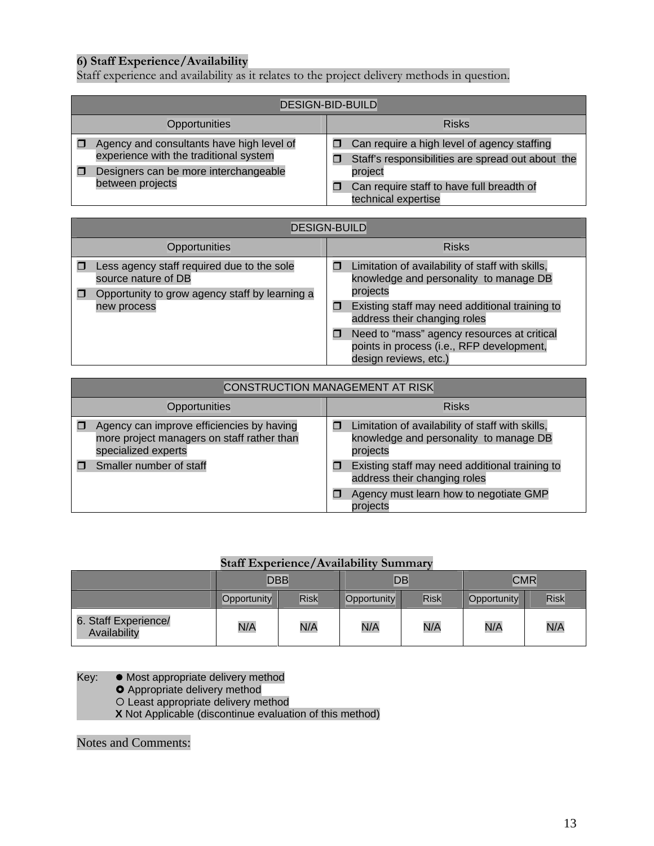## **6) Staff Experience/Availability**

Staff experience and availability as it relates to the project delivery methods in question.

| <b>DESIGN-BID-BUILD</b>                                                             |                                                                                                  |  |  |  |  |
|-------------------------------------------------------------------------------------|--------------------------------------------------------------------------------------------------|--|--|--|--|
| Opportunities                                                                       | <b>Risks</b>                                                                                     |  |  |  |  |
| Agency and consultants have high level of<br>experience with the traditional system | Can require a high level of agency staffing<br>Staff's responsibilities are spread out about the |  |  |  |  |
| Designers can be more interchangeable<br>between projects                           | project<br>Can require staff to have full breadth of<br>technical expertise                      |  |  |  |  |

| <b>DESIGN-BUILD</b>                                                                                                                |                                                                                                                   |  |  |  |  |  |
|------------------------------------------------------------------------------------------------------------------------------------|-------------------------------------------------------------------------------------------------------------------|--|--|--|--|--|
| Opportunities                                                                                                                      | <b>Risks</b>                                                                                                      |  |  |  |  |  |
| Less agency staff required due to the sole<br>source nature of DB<br>Opportunity to grow agency staff by learning a<br>new process | Limitation of availability of staff with skills,<br>knowledge and personality to manage DB<br>projects            |  |  |  |  |  |
|                                                                                                                                    | Existing staff may need additional training to<br>⊓<br>address their changing roles                               |  |  |  |  |  |
|                                                                                                                                    | Need to "mass" agency resources at critical<br>points in process (i.e., RFP development,<br>design reviews, etc.) |  |  |  |  |  |

| <b>CONSTRUCTION MANAGEMENT AT RISK</b>                                                                                                    |                                                                                                        |  |  |  |  |
|-------------------------------------------------------------------------------------------------------------------------------------------|--------------------------------------------------------------------------------------------------------|--|--|--|--|
| Opportunities                                                                                                                             | <b>Risks</b>                                                                                           |  |  |  |  |
| Agency can improve efficiencies by having<br>more project managers on staff rather than<br>specialized experts<br>Smaller number of staff | Limitation of availability of staff with skills,<br>knowledge and personality to manage DB<br>projects |  |  |  |  |
|                                                                                                                                           | Existing staff may need additional training to<br>address their changing roles                         |  |  |  |  |
|                                                                                                                                           | Agency must learn how to negotiate GMP<br>projects                                                     |  |  |  |  |

## **Staff Experience/Availability Summary**

|                                      | <b>DBB</b>  |                            |     | DB          | <b>CMR</b>  |      |
|--------------------------------------|-------------|----------------------------|-----|-------------|-------------|------|
|                                      | Opportunity | <b>Risk</b><br>Opportunity |     | <b>Risk</b> | Opportunity | Risk |
| 6. Staff Experience/<br>Availability | N/A         | N/A                        | N/A | N/A         | N/A         | N/A  |

Key: • Most appropriate delivery method

- **O** Appropriate delivery method
- O Least appropriate delivery method
- **X** Not Applicable (discontinue evaluation of this method)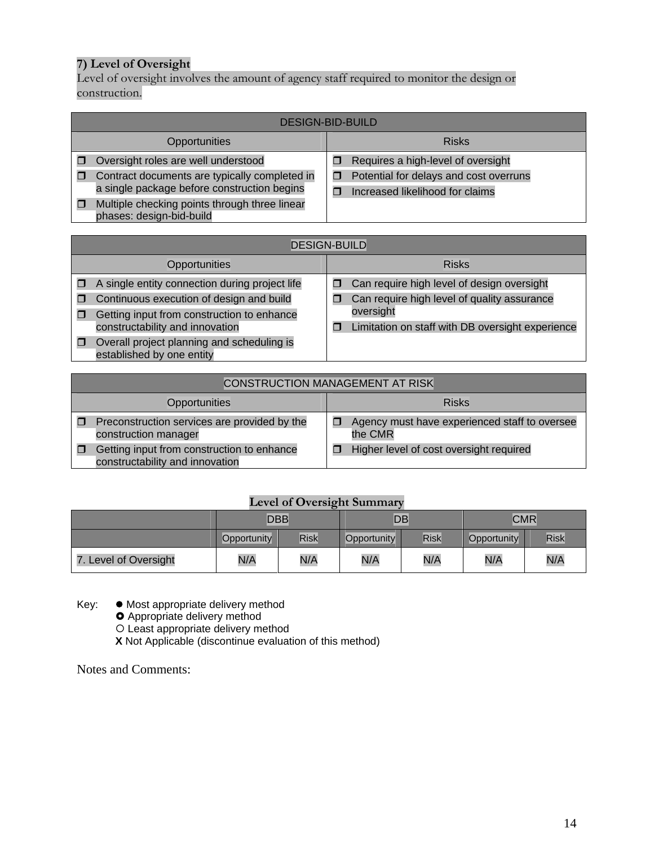## **7) Level of Oversight**

Level of oversight involves the amount of agency staff required to monitor the design or construction.

| <b>DESIGN-BID-BUILD</b>                                                   |  |                                        |  |  |
|---------------------------------------------------------------------------|--|----------------------------------------|--|--|
| Opportunities                                                             |  | <b>Risks</b>                           |  |  |
| Oversight roles are well understood                                       |  | Requires a high-level of oversight     |  |  |
| Contract documents are typically completed in                             |  | Potential for delays and cost overruns |  |  |
| a single package before construction begins                               |  | Increased likelihood for claims        |  |  |
| Multiple checking points through three linear<br>phases: design-bid-build |  |                                        |  |  |

|   | <b>DESIGN-BUILD</b>                                                                                                                                                         |        |                                                                                                                                                            |  |  |
|---|-----------------------------------------------------------------------------------------------------------------------------------------------------------------------------|--------|------------------------------------------------------------------------------------------------------------------------------------------------------------|--|--|
|   | Opportunities                                                                                                                                                               |        | <b>Risks</b>                                                                                                                                               |  |  |
| П | A single entity connection during project life<br>Continuous execution of design and build<br>Getting input from construction to enhance<br>constructability and innovation | □<br>⊓ | Can require high level of design oversight<br>Can require high level of quality assurance<br>oversight<br>Limitation on staff with DB oversight experience |  |  |
| о | Overall project planning and scheduling is<br>established by one entity                                                                                                     |        |                                                                                                                                                            |  |  |

| <b>CONSTRUCTION MANAGEMENT AT RISK</b>                                        |  |                                                          |  |  |
|-------------------------------------------------------------------------------|--|----------------------------------------------------------|--|--|
| Opportunities                                                                 |  | <b>Risks</b>                                             |  |  |
| Preconstruction services are provided by the<br>construction manager          |  | Agency must have experienced staff to oversee<br>the CMR |  |  |
| Getting input from construction to enhance<br>constructability and innovation |  | Higher level of cost oversight required                  |  |  |

## **Level of Oversight Summary**

|                       | <b>DBB</b>  |             |     | $\overline{DB}$            | <b>CMR</b> |      |
|-----------------------|-------------|-------------|-----|----------------------------|------------|------|
|                       | Opportunity | <b>Risk</b> |     | <b>Risk</b><br>Opportunity |            | Risk |
| 7. Level of Oversight | N/A         | N/A         | N/A | N/A                        | N/A        | N/A  |

Key:  $\bullet$  Most appropriate delivery method

**O** Appropriate delivery method

{ Least appropriate delivery method

**X** Not Applicable (discontinue evaluation of this method)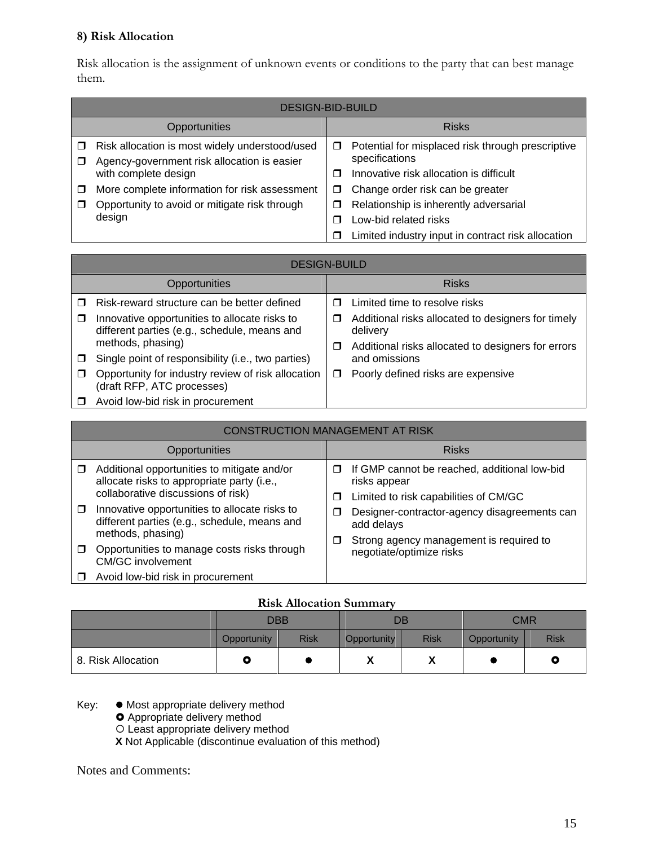## **8) Risk Allocation**

Risk allocation is the assignment of unknown events or conditions to the party that can best manage them.

|   | <b>DESIGN-BID-BUILD</b>                                                                       |   |                                                                     |  |  |
|---|-----------------------------------------------------------------------------------------------|---|---------------------------------------------------------------------|--|--|
|   | Opportunities                                                                                 |   | <b>Risks</b>                                                        |  |  |
|   | Risk allocation is most widely understood/used<br>Agency-government risk allocation is easier | □ | Potential for misplaced risk through prescriptive<br>specifications |  |  |
|   | with complete design                                                                          | ⊓ | Innovative risk allocation is difficult                             |  |  |
| П | More complete information for risk assessment                                                 | П | Change order risk can be greater                                    |  |  |
| П | Opportunity to avoid or mitigate risk through                                                 | □ | Relationship is inherently adversarial                              |  |  |
|   | design                                                                                        | ⊓ | Low-bid related risks                                               |  |  |
|   |                                                                                               |   | Limited industry input in contract risk allocation                  |  |  |

|        | <b>DESIGN-BUILD</b>                                                                           |   |                                                                |  |  |  |
|--------|-----------------------------------------------------------------------------------------------|---|----------------------------------------------------------------|--|--|--|
|        | Opportunities                                                                                 |   | <b>Risks</b>                                                   |  |  |  |
|        | Risk-reward structure can be better defined                                                   | П | Limited time to resolve risks                                  |  |  |  |
| $\Box$ | Innovative opportunities to allocate risks to<br>different parties (e.g., schedule, means and | □ | Additional risks allocated to designers for timely<br>delivery |  |  |  |
|        | methods, phasing)                                                                             | □ | Additional risks allocated to designers for errors             |  |  |  |
| $\Box$ | Single point of responsibility (i.e., two parties)                                            |   | and omissions                                                  |  |  |  |
| □      | Opportunity for industry review of risk allocation<br>(draft RFP, ATC processes)              | □ | Poorly defined risks are expensive                             |  |  |  |
|        | Avoid low-bid risk in procurement                                                             |   |                                                                |  |  |  |

|        | <b>CONSTRUCTION MANAGEMENT AT RISK</b>                                                                                          |        |                                                                                                       |  |                                                                                                       |  |
|--------|---------------------------------------------------------------------------------------------------------------------------------|--------|-------------------------------------------------------------------------------------------------------|--|-------------------------------------------------------------------------------------------------------|--|
|        | Opportunities                                                                                                                   |        | <b>Risks</b>                                                                                          |  |                                                                                                       |  |
| $\Box$ | Additional opportunities to mitigate and/or<br>allocate risks to appropriate party (i.e.,<br>collaborative discussions of risk) | п<br>⊓ | If GMP cannot be reached, additional low-bid<br>risks appear<br>Limited to risk capabilities of CM/GC |  |                                                                                                       |  |
| $\Box$ | Innovative opportunities to allocate risks to<br>different parties (e.g., schedule, means and<br>methods, phasing)              | П<br>□ |                                                                                                       |  | Designer-contractor-agency disagreements can<br>add delays<br>Strong agency management is required to |  |
| $\Box$ | Opportunities to manage costs risks through<br><b>CM/GC involvement</b>                                                         |        | negotiate/optimize risks                                                                              |  |                                                                                                       |  |
|        | Avoid low-bid risk in procurement                                                                                               |        |                                                                                                       |  |                                                                                                       |  |

#### **Risk Allocation Summary**

|                    | <b>DBB</b>  |                            | DB |             | <b>CMR</b>  |             |
|--------------------|-------------|----------------------------|----|-------------|-------------|-------------|
|                    | Opportunity | <b>Risk</b><br>Opportunity |    | <b>Risk</b> | Opportunity | <b>Risk</b> |
| 8. Risk Allocation | Q           |                            | Λ  | Λ           |             | O           |

Key:  $\bullet$  Most appropriate delivery method

**O** Appropriate delivery method

O Least appropriate delivery method

**X** Not Applicable (discontinue evaluation of this method)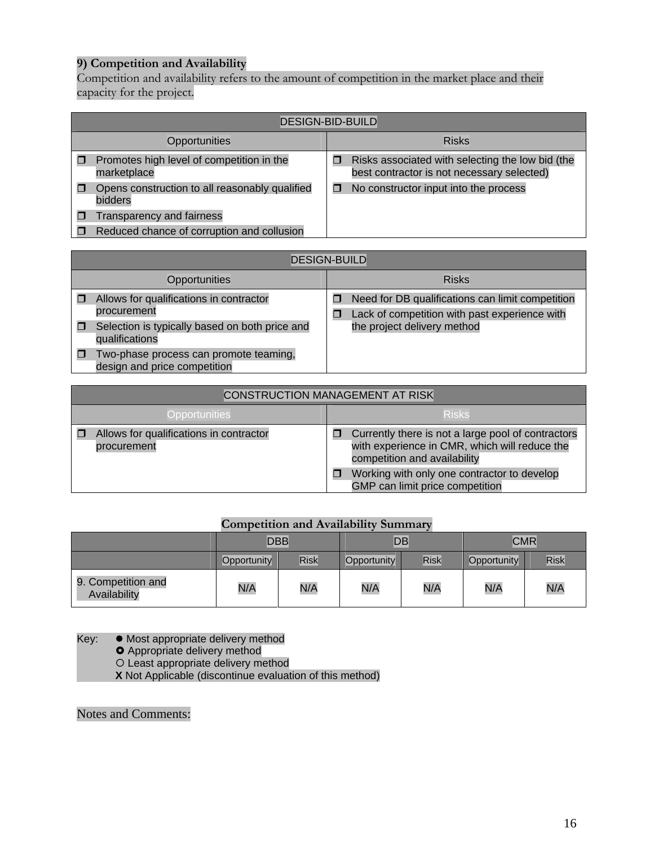## **9) Competition and Availability**

Competition and availability refers to the amount of competition in the market place and their capacity for the project.

| <b>DESIGN-BID-BUILD</b>                                   |  |                                                                                                |  |  |
|-----------------------------------------------------------|--|------------------------------------------------------------------------------------------------|--|--|
| Opportunities                                             |  | <b>Risks</b>                                                                                   |  |  |
| Promotes high level of competition in the<br>marketplace  |  | Risks associated with selecting the low bid (the<br>best contractor is not necessary selected) |  |  |
| Opens construction to all reasonably qualified<br>bidders |  | No constructor input into the process                                                          |  |  |
| Transparency and fairness                                 |  |                                                                                                |  |  |
| Reduced chance of corruption and collusion                |  |                                                                                                |  |  |

| <b>DESIGN-BUILD</b>                                                                                                        |   |                                                                                                                                  |  |  |
|----------------------------------------------------------------------------------------------------------------------------|---|----------------------------------------------------------------------------------------------------------------------------------|--|--|
| Opportunities                                                                                                              |   | <b>Risks</b>                                                                                                                     |  |  |
| Allows for qualifications in contractor<br>procurement<br>Selection is typically based on both price and<br>qualifications | П | Need for DB qualifications can limit competition<br>Lack of competition with past experience with<br>the project delivery method |  |  |
| Two-phase process can promote teaming,<br>design and price competition                                                     |   |                                                                                                                                  |  |  |

| <b>CONSTRUCTION MANAGEMENT AT RISK</b>                 |                                                                                                                                     |  |  |  |
|--------------------------------------------------------|-------------------------------------------------------------------------------------------------------------------------------------|--|--|--|
| <b>Opportunities</b>                                   | <b>Risks</b>                                                                                                                        |  |  |  |
| Allows for qualifications in contractor<br>procurement | Currently there is not a large pool of contractors<br>with experience in CMR, which will reduce the<br>competition and availability |  |  |  |
|                                                        | Working with only one contractor to develop<br>GMP can limit price competition                                                      |  |  |  |

## **Competition and Availability Summary**

|                                    | <b>DBB</b>  |             | DB          |      | <b>CMR</b>  |      |
|------------------------------------|-------------|-------------|-------------|------|-------------|------|
|                                    | Opportunity | <b>Risk</b> | Opportunity | Risk | Opportunity | Risk |
| 9. Competition and<br>Availability | N/A         | N/A         | N/A         | N/A  | N/A         | N/A  |

Key: • Most appropriate delivery method

**O** Appropriate delivery method

O Least appropriate delivery method

**X** Not Applicable (discontinue evaluation of this method)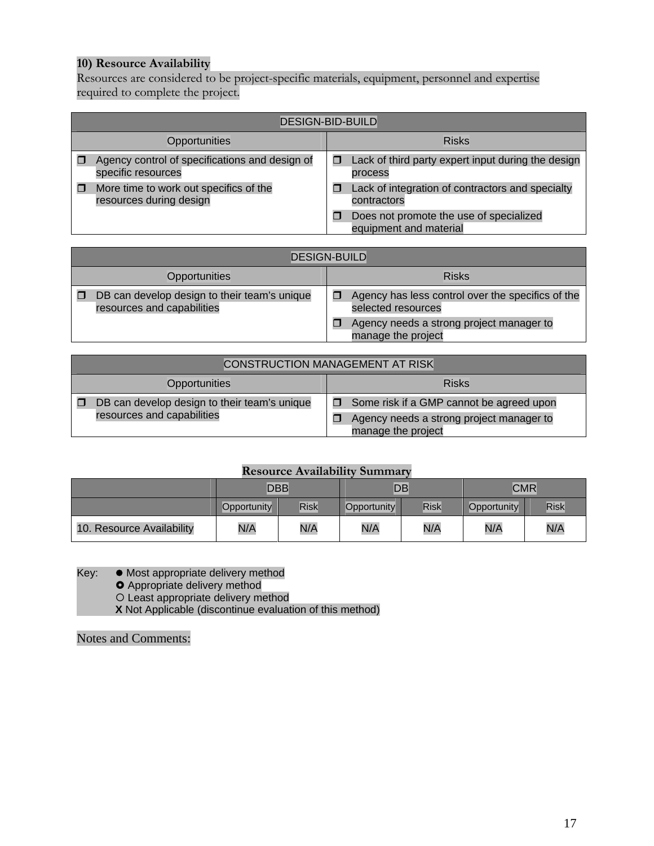## **10) Resource Availability**

Resources are considered to be project-specific materials, equipment, personnel and expertise required to complete the project.

| <b>DESIGN-BID-BUILD</b>                                              |                                                                   |  |  |  |  |
|----------------------------------------------------------------------|-------------------------------------------------------------------|--|--|--|--|
| Opportunities                                                        | <b>Risks</b>                                                      |  |  |  |  |
| Agency control of specifications and design of<br>specific resources | Lack of third party expert input during the design<br>process     |  |  |  |  |
| More time to work out specifics of the<br>resources during design    | Lack of integration of contractors and specialty<br>contractors   |  |  |  |  |
|                                                                      | Does not promote the use of specialized<br>equipment and material |  |  |  |  |

| <b>DESIGN-BUILD</b>                                                        |                                                                                                                                           |  |  |  |  |
|----------------------------------------------------------------------------|-------------------------------------------------------------------------------------------------------------------------------------------|--|--|--|--|
| Opportunities                                                              | <b>Risks</b>                                                                                                                              |  |  |  |  |
| DB can develop design to their team's unique<br>resources and capabilities | Agency has less control over the specifics of the<br>selected resources<br>Agency needs a strong project manager to<br>manage the project |  |  |  |  |

|               | <b>CONSTRUCTION MANAGEMENT AT RISK</b>                                     |  |                                                                                                            |  |  |  |
|---------------|----------------------------------------------------------------------------|--|------------------------------------------------------------------------------------------------------------|--|--|--|
| Opportunities |                                                                            |  | <b>Risks</b>                                                                                               |  |  |  |
|               | DB can develop design to their team's unique<br>resources and capabilities |  | Some risk if a GMP cannot be agreed upon<br>Agency needs a strong project manager to<br>manage the project |  |  |  |

## **Resource Availability Summary**

|                           | <b>DBB</b>  |             | DB          |             | <b>CMR</b>  |             |
|---------------------------|-------------|-------------|-------------|-------------|-------------|-------------|
|                           | Opportunity | <b>Risk</b> | Opportunity | <b>Risk</b> | Opportunity | <b>Risk</b> |
| 10. Resource Availability | N/A         | N/A         | N/A         | N/A         | N/A         | N/A         |

Key: • Most appropriate delivery method

**O** Appropriate delivery method

{ Least appropriate delivery method

**X** Not Applicable (discontinue evaluation of this method)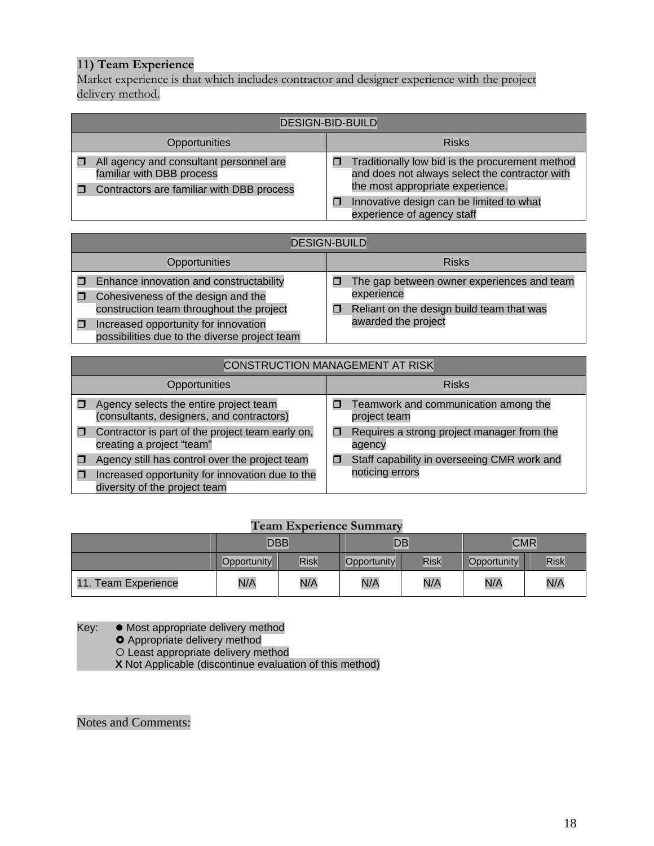## 11**) Team Experience**

Market experience is that which includes contractor and designer experience with the project delivery method.

| <b>DESIGN-BID-BUILD</b>                                                                                                |                                                                                                                                       |  |  |  |  |  |
|------------------------------------------------------------------------------------------------------------------------|---------------------------------------------------------------------------------------------------------------------------------------|--|--|--|--|--|
| Opportunities                                                                                                          | <b>Risks</b>                                                                                                                          |  |  |  |  |  |
| All agency and consultant personnel are<br>familiar with DBB process<br>Contractors are familiar with DBB process<br>п | Traditionally low bid is the procurement method<br>and does not always select the contractor with<br>the most appropriate experience. |  |  |  |  |  |
|                                                                                                                        | Innovative design can be limited to what<br>experience of agency staff                                                                |  |  |  |  |  |

|               | <b>DESIGN-BUILD</b>                                                                                                               |  |                                            |  |  |  |
|---------------|-----------------------------------------------------------------------------------------------------------------------------------|--|--------------------------------------------|--|--|--|
| Opportunities |                                                                                                                                   |  | <b>Risks</b>                               |  |  |  |
|               | Enhance innovation and constructability                                                                                           |  | The gap between owner experiences and team |  |  |  |
|               | Cohesiveness of the design and the                                                                                                |  | experience                                 |  |  |  |
|               | construction team throughout the project<br>Increased opportunity for innovation<br>possibilities due to the diverse project team |  | Reliant on the design build team that was  |  |  |  |
|               |                                                                                                                                   |  | awarded the project                        |  |  |  |

| <b>CONSTRUCTION MANAGEMENT AT RISK</b>                                                                                             |                                                                |  |  |  |  |
|------------------------------------------------------------------------------------------------------------------------------------|----------------------------------------------------------------|--|--|--|--|
| Opportunities                                                                                                                      | <b>Risks</b>                                                   |  |  |  |  |
| Agency selects the entire project team<br>(consultants, designers, and contractors)                                                | Teamwork and communication among the<br>$\Box$<br>project team |  |  |  |  |
| Contractor is part of the project team early on,<br>π<br>creating a project "team"                                                 | Requires a strong project manager from the<br>agency           |  |  |  |  |
| Agency still has control over the project team<br>Increased opportunity for innovation due to the<br>diversity of the project team | Staff capability in overseeing CMR work and<br>noticing errors |  |  |  |  |

## **Team Experience Summary**

|                               | <b>DBB</b>                 |     |                            | DB  | <b>CMR</b>  |      |
|-------------------------------|----------------------------|-----|----------------------------|-----|-------------|------|
|                               | <b>Risk</b><br>Opportunity |     | <b>Risk</b><br>Opportunity |     | Opportunity | Risk |
| 11.<br><b>Team Experience</b> | N/A                        | N/A | N/A                        | N/A | N/A         | N/A  |

Key: • Most appropriate delivery method

**O** Appropriate delivery method

O Least appropriate delivery method

**X** Not Applicable (discontinue evaluation of this method)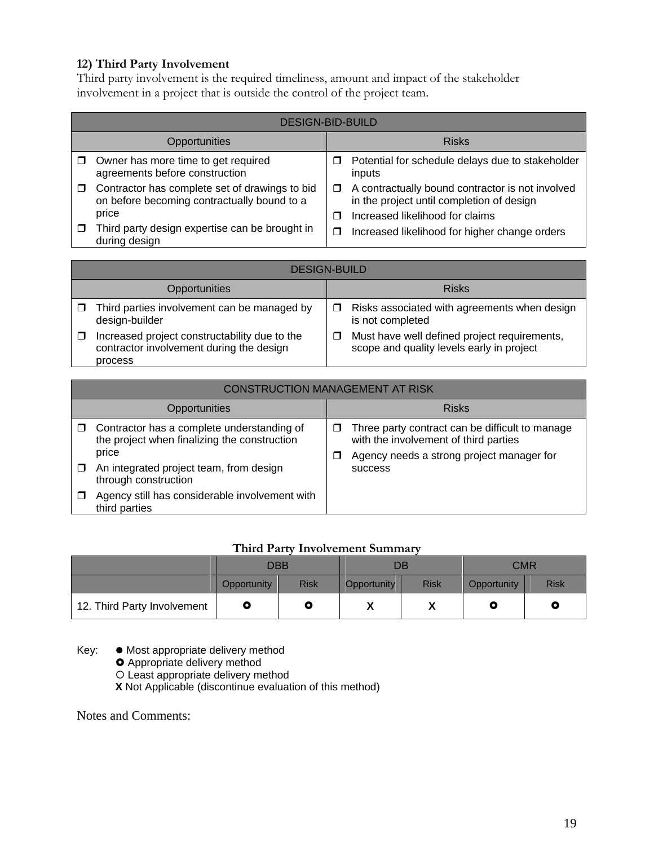## **12) Third Party Involvement**

Third party involvement is the required timeliness, amount and impact of the stakeholder involvement in a project that is outside the control of the project team.

|               | <b>DESIGN-BID-BUILD</b>                                                                                |             |                                                                                                                                  |  |  |  |
|---------------|--------------------------------------------------------------------------------------------------------|-------------|----------------------------------------------------------------------------------------------------------------------------------|--|--|--|
| Opportunities |                                                                                                        |             | <b>Risks</b>                                                                                                                     |  |  |  |
| □             | Owner has more time to get required<br>agreements before construction                                  | П           | Potential for schedule delays due to stakeholder<br>inputs                                                                       |  |  |  |
| □             | Contractor has complete set of drawings to bid<br>on before becoming contractually bound to a<br>price | $\Box$<br>П | A contractually bound contractor is not involved<br>in the project until completion of design<br>Increased likelihood for claims |  |  |  |
|               | Third party design expertise can be brought in<br>during design                                        | $\Box$      | Increased likelihood for higher change orders                                                                                    |  |  |  |

|               | <b>DESIGN-BUILD</b>                                                                                  |   |                                                                                           |  |  |  |
|---------------|------------------------------------------------------------------------------------------------------|---|-------------------------------------------------------------------------------------------|--|--|--|
| Opportunities |                                                                                                      |   | <b>Risks</b>                                                                              |  |  |  |
| $\Box$        | Third parties involvement can be managed by<br>design-builder                                        | □ | Risks associated with agreements when design<br>is not completed                          |  |  |  |
|               | Increased project constructability due to the<br>contractor involvement during the design<br>process | □ | Must have well defined project requirements,<br>scope and quality levels early in project |  |  |  |

| <b>CONSTRUCTION MANAGEMENT AT RISK</b>                                                                                                                                 |        |                                                                                                                                                         |  |  |  |
|------------------------------------------------------------------------------------------------------------------------------------------------------------------------|--------|---------------------------------------------------------------------------------------------------------------------------------------------------------|--|--|--|
| Opportunities                                                                                                                                                          |        | <b>Risks</b>                                                                                                                                            |  |  |  |
| Contractor has a complete understanding of<br>the project when finalizing the construction<br>price<br>An integrated project team, from design<br>through construction | ◻<br>ш | Three party contract can be difficult to manage<br>with the involvement of third parties<br>Agency needs a strong project manager for<br><b>SUCCESS</b> |  |  |  |
| Agency still has considerable involvement with<br>third parties                                                                                                        |        |                                                                                                                                                         |  |  |  |

## **Third Party Involvement Summary**

|                             | DBB         |             | DB          |             | <b>CMR</b>  |             |
|-----------------------------|-------------|-------------|-------------|-------------|-------------|-------------|
|                             | Opportunity | <b>Risk</b> | Opportunity | <b>Risk</b> | Opportunity | <b>Risk</b> |
| 12. Third Party Involvement |             | Q           | "           | v<br>Λ      |             | O           |

 $Key:$   $\bullet$  Most appropriate delivery method

**O** Appropriate delivery method

O Least appropriate delivery method

**X** Not Applicable (discontinue evaluation of this method)